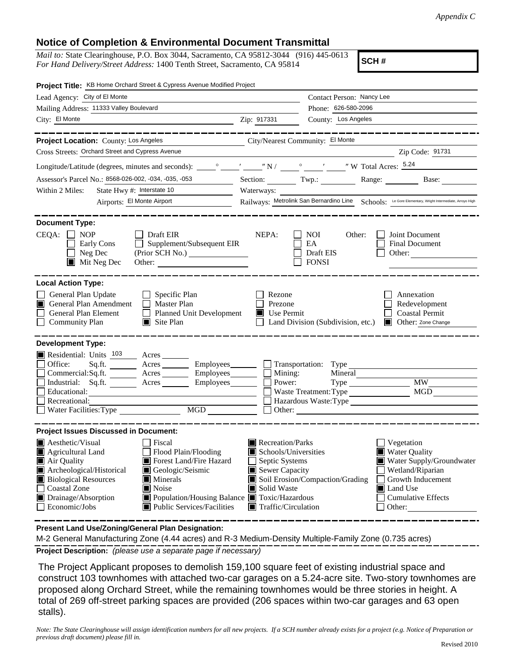## **Notice of Completion & Environmental Document Transmittal**

*Mail to:* State Clearinghouse, P.O. Box 3044, Sacramento, CA 95812-3044 (916) 445-0613 *For Hand Delivery/Street Address:* 1400 Tenth Street, Sacramento, CA 95814

**SCH #**

| Project Title: KB Home Orchard Street & Cypress Avenue Modified Project                                                                                                                                                                                                                                                                                                                    |                                                                                                                                                                      |                                                                                                                                                                   |  |
|--------------------------------------------------------------------------------------------------------------------------------------------------------------------------------------------------------------------------------------------------------------------------------------------------------------------------------------------------------------------------------------------|----------------------------------------------------------------------------------------------------------------------------------------------------------------------|-------------------------------------------------------------------------------------------------------------------------------------------------------------------|--|
| Lead Agency: City of El Monte                                                                                                                                                                                                                                                                                                                                                              |                                                                                                                                                                      | Contact Person: Nancy Lee                                                                                                                                         |  |
| Mailing Address: 11333 Valley Boulevard                                                                                                                                                                                                                                                                                                                                                    |                                                                                                                                                                      | Phone: 626-580-2096                                                                                                                                               |  |
| City: El Monte<br><u> 1980 - Johann Barn, amerikansk politiker (</u> † 1900)                                                                                                                                                                                                                                                                                                               | Zip: 917331                                                                                                                                                          | County: Los Angeles                                                                                                                                               |  |
| Project Location: County: Los Angeles                                                                                                                                                                                                                                                                                                                                                      | City/Nearest Community: El Monte                                                                                                                                     | -----------------                                                                                                                                                 |  |
| Cross Streets: Orchard Street and Cypress Avenue                                                                                                                                                                                                                                                                                                                                           |                                                                                                                                                                      | Zip Code: 91731                                                                                                                                                   |  |
|                                                                                                                                                                                                                                                                                                                                                                                            |                                                                                                                                                                      |                                                                                                                                                                   |  |
| Assessor's Parcel No.: 8568-026-002, -034, -035, -053                                                                                                                                                                                                                                                                                                                                      | Section: Twp.:                                                                                                                                                       | Range:<br>Base:                                                                                                                                                   |  |
| State Hwy #: Interstate 10<br>Within 2 Miles:                                                                                                                                                                                                                                                                                                                                              |                                                                                                                                                                      |                                                                                                                                                                   |  |
| Airports: El Monte Airport<br><u>and the community of the community</u>                                                                                                                                                                                                                                                                                                                    | Railways: Metrolink San Bernardino Line Schools: Le Gore Elementary, Wright Intermediate, Arroyo High                                                                |                                                                                                                                                                   |  |
| <b>Document Type:</b><br>CEQA:<br>$\Box$ NOP<br>Draft EIR<br>Supplement/Subsequent EIR<br>Early Cons<br>Neg Dec<br>$\blacksquare$<br>$\blacksquare$ Mit Neg Dec<br>Other:                                                                                                                                                                                                                  | NEPA:<br><b>NOI</b><br>EA<br>Draft EIS<br><b>FONSI</b>                                                                                                               | Other:<br>Joint Document<br>Final Document<br>Other:                                                                                                              |  |
| <b>Local Action Type:</b>                                                                                                                                                                                                                                                                                                                                                                  |                                                                                                                                                                      |                                                                                                                                                                   |  |
| General Plan Update<br>$\Box$ Specific Plan<br>General Plan Amendment<br>$\Box$ Master Plan<br>I I<br>General Plan Element<br>$\Box$<br><b>Planned Unit Development</b><br>$\blacksquare$ Site Plan<br><b>Community Plan</b>                                                                                                                                                               | Rezone<br>Prezone<br>Use Permit<br>Land Division (Subdivision, etc.)                                                                                                 | Annexation<br>Redevelopment<br><b>Coastal Permit</b><br>Other: Zone Change                                                                                        |  |
| <b>Development Type:</b><br>Residential: Units 103<br>Acres<br>Office:<br>Sq.ft.<br>Commercial:Sq.ft. _______ Acres ________ Employees_______  <br>Industrial: Sq.ft. _______ Acres ________ Employees_______<br>Educational:<br>Recreational:<br>MGD<br>Water Facilities: Type                                                                                                            | $\blacksquare$ Mining:<br>Power:                                                                                                                                     | Acres Employees Transportation: Type<br><b>MW</b><br>MGD<br>Waste Treatment: Type<br>Hazardous Waste:Type<br>Other:                                               |  |
| <b>Project Issues Discussed in Document:</b>                                                                                                                                                                                                                                                                                                                                               |                                                                                                                                                                      |                                                                                                                                                                   |  |
| $\blacksquare$ Aesthetic/Visual<br>Fiscal<br>Flood Plain/Flooding<br>Agricultural Land<br>Air Quality<br>Forest Land/Fire Hazard<br>Archeological/Historical<br>Geologic/Seismic<br><b>Biological Resources</b><br>Minerals<br>Noise<br><b>Coastal Zone</b><br>Drainage/Absorption<br>Population/Housing Balance <b>T</b> Toxic/Hazardous<br>Economic/Jobs<br>■ Public Services/Facilities | Recreation/Parks<br>Schools/Universities<br>Septic Systems<br>Sewer Capacity<br>Soil Erosion/Compaction/Grading<br>Solid Waste<br>$\blacksquare$ Traffic/Circulation | Vegetation<br><b>Water Quality</b><br>Water Supply/Groundwater<br>Wetland/Riparian<br>Growth Inducement<br><b>Land Use</b><br><b>Cumulative Effects</b><br>Other: |  |

**Present Land Use/Zoning/General Plan Designation:**

**Project Description:** *(please use a separate page if necessary)* M-2 General Manufacturing Zone (4.44 acres) and R-3 Medium-Density Multiple-Family Zone (0.735 acres)

 The Project Applicant proposes to demolish 159,100 square feet of existing industrial space and construct 103 townhomes with attached two-car garages on a 5.24-acre site. Two-story townhomes are proposed along Orchard Street, while the remaining townhomes would be three stories in height. A total of 269 off-street parking spaces are provided (206 spaces within two-car garages and 63 open stalls).

*Note: The State Clearinghouse will assign identification numbers for all new projects. If a SCH number already exists for a project (e.g. Notice of Preparation or previous draft document) please fill in.*